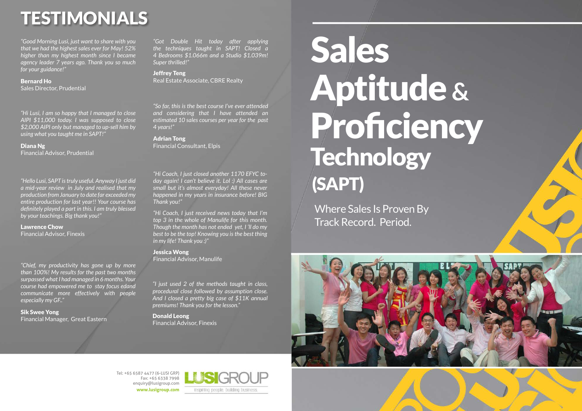Tel: +65 6587 4477 (6-LUSI GRP) Fax: +65 6338 7998 enquiry@lusigroup.com **www.lusigroup.com**



# TESTIMONIALS

*"Got Double Hit today after applying the techniques taught in SAPT! Closed a 4 Bedrooms \$1.066m and a Studio \$1.039m! Super thrilled!"*

Jeffrey Teng Real Estate Associate, CBRE Realty

*"Hello Lusi, SAPT is truly useful. Anyway I just did a mid-year review in July and realised that my production from January to date far exceeded my entire production for last year!! Your course has definitely played a part in this. I am truly blessed by your teachings. Big thank you!"*

Lawrence Chow

Financial Advisor, Finexis

*"Hi Coach, I just closed another 1170 EFYC today again! I can't believe it. Lol :) All cases are small but it's almost everyday! All these never happened in my years in insurance before! BIG Thank you!"*

*"Hi Coach, I just received news today that I'm top 3 in the whole of Manulife for this month. Though the month has not ended yet, I 'll do my best to be the top! Knowing you is the best thing in my life! Thank you :)"*

Jessica Wong Financial Advisor, Manulife

*"Good Morning Lusi, just want to share with you that we had the highest sales ever for May! 52% higher than my highest month since I became agency leader 7 years ago. Thank you so much for your guidance!"*

Bernard Ho Sales Director, Prudential

# Sales Technology (SAPT)



*"I just used 2 of the methods taught in class, procedural close followed by assumption close. And I closed a pretty big case of \$11K annual premiums! Thank you for the lesson."*

Donald Leong Financial Advisor, Finexis

*"So far, this is the best course I've ever attended and considering that I have attended an estimated 10 sales courses per year for the past 4 years!"*

Adrian Tong Financial Consultant, Elpis

*"Hi Lusi, I am so happy that I managed to close AIPI \$11,000 today. I was supposed to close \$2,000 AIPI only but managed to up-sell him by using what you taught me in SAPT!"*

Diana Ng Financial Advisor, Prudential

*"Chief, my productivity has gone up by more than 100%! My results for the past two months surpassed what I had managed in 6 months. Your course had empowered me to stay focus edand communicate more effectively with people especially my GF.."*

Sik Swee Yong Financial Manager, Great Eastern